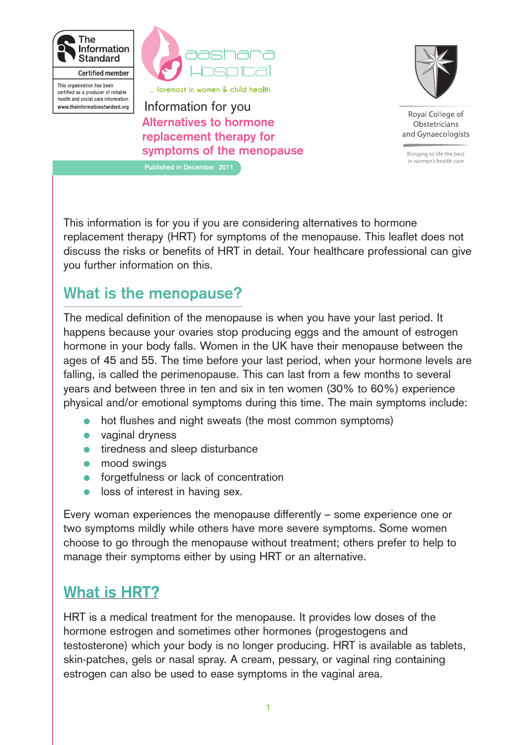

**aashara** 

... foremost in women & child health

This organisation has been certified as a producer of reliable health and social care information. www.theinformationstandard.org

**Alternatives to hormone replacement therapy for symptoms of the menopause** Information for you

**Published in December 2011**



Roval College of Obstetricians and Gynaecologists

Bringing to life the best in women's health care

This information is for you if you are considering alternatives to hormone replacement therapy (HRT) for symptoms of the menopause. This leaflet does not discuss the risks or benefits of HRT in detail. Your healthcare professional can give you further information on this.

# **What is the menopause?**

The medical definition of the menopause is when you have your last period. It happens because your ovaries stop producing eggs and the amount of estrogen hormone in your body falls. Women in the UK have their menopause between the ages of 45 and 55. The time before your last period, when your hormone levels are falling, is called the perimenopause. This can last from a few months to several years and between three in ten and six in ten women (30% to 60%) experience physical and/or emotional symptoms during this time. The main symptoms include:

- hot flushes and night sweats (the most common symptoms)
- vaginal dryness
- tiredness and sleep disturbance
- mood swings
- forgetfulness or lack of concentration
- loss of interest in having sex.

Every woman experiences the menopause differently – some experience one or two symptoms mildly while others have more severe symptoms. Some women choose to go through the menopause without treatment; others prefer to help to manage their symptoms either by using HRT or an alternative.

# **What is HRT?**

HRT is a medical treatment for the menopause. It provides low doses of the hormone estrogen and sometimes other hormones (progestogens and testosterone) which your body is no longer producing. HRT is available as tablets, skin-patches, gels or nasal spray. A cream, pessary, or vaginal ring containing estrogen can also be used to ease symptoms in the vaginal area.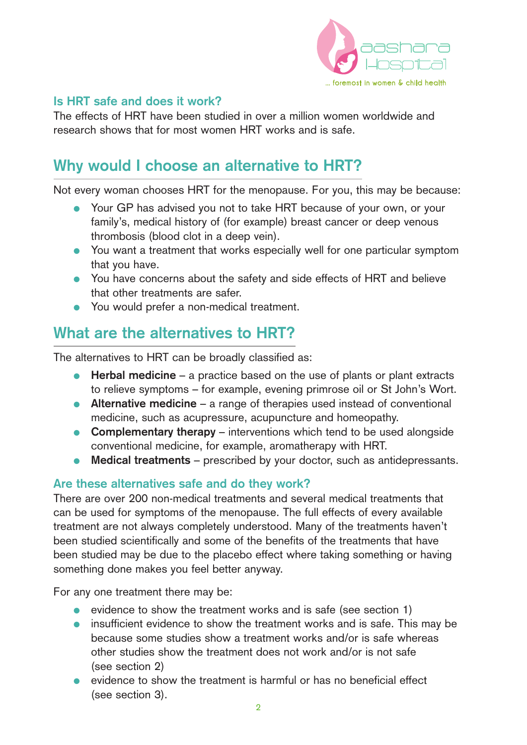

### **Is HRT safe and does it work?**

The effects of HRT have been studied in over a million women worldwide and research shows that for most women HRT works and is safe.

# **Why would I choose an alternative to HRT?**

Not every woman chooses HRT for the menopause. For you, this may be because:

- Your GP has advised you not to take HRT because of your own, or your family's, medical history of (for example) breast cancer or deep venous thrombosis (blood clot in a deep vein).
- You want a treatment that works especially well for one particular symptom that you have.
- You have concerns about the safety and side effects of HRT and believe that other treatments are safer.
- You would prefer a non-medical treatment.

## **What are the alternatives to HRT?**

The alternatives to HRT can be broadly classified as:

- **Herbal medicine** a practice based on the use of plants or plant extracts to relieve symptoms – for example, evening primrose oil or St John's Wort.
- **Alternative medicine** a range of therapies used instead of conventional medicine, such as acupressure, acupuncture and homeopathy.
- **Complementary therapy** interventions which tend to be used alongside conventional medicine, for example, aromatherapy with HRT.
- **Medical treatments** prescribed by your doctor, such as antidepressants.

### **Are these alternatives safe and do they work?**

There are over 200 non-medical treatments and several medical treatments that can be used for symptoms of the menopause. The full effects of every available treatment are not always completely understood. Many of the treatments haven't been studied scientifically and some of the benefits of the treatments that have been studied may be due to the placebo effect where taking something or having something done makes you feel better anyway.

For any one treatment there may be:

- evidence to show the treatment works and is safe (see section 1)
- insufficient evidence to show the treatment works and is safe. This may be because some studies show a treatment works and/or is safe whereas other studies show the treatment does not work and/or is not safe (see section 2)
- evidence to show the treatment is harmful or has no beneficial effect (see section 3).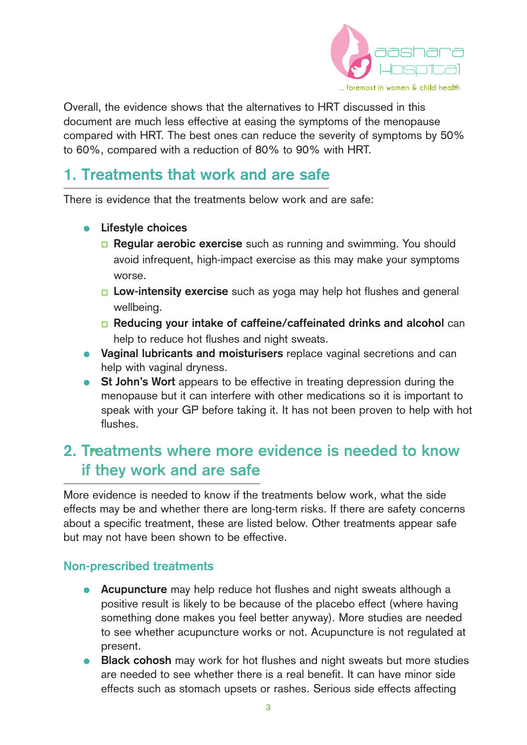

Overall, the evidence shows that the alternatives to HRT discussed in this document are much less effective at easing the symptoms of the menopause compared with HRT. The best ones can reduce the severity of symptoms by 50% to 60%, compared with a reduction of 80% to 90% with HRT.

## **1. Treatments that work and are safe**

There is evidence that the treatments below work and are safe:

- **Lifestyle choices**
	- **n Regular aerobic exercise** such as running and swimming. You should avoid infrequent, high-impact exercise as this may make your symptoms worse.
	- **Low-intensity exercise** such as yoga may help hot flushes and general wellbeing.
	- □ **Reducing your intake of caffeine/caffeinated drinks and alcohol** can help to reduce hot flushes and night sweats.
- **Vaginal lubricants and moisturisers** replace vaginal secretions and can help with vaginal dryness.
- **St John's Wort** appears to be effective in treating depression during the menopause but it can interfere with other medications so it is important to speak with your GP before taking it. It has not been proven to help with hot flushes.

# **2. T**••**reatments where more evidence is needed to know if they work and are safe**

More evidence is needed to know if the treatments below work, what the side effects may be and whether there are long-term risks. If there are safety concerns about a specific treatment, these are listed below. Other treatments appear safe but may not have been shown to be effective.

#### **Non-prescribed treatments**

- **Acupuncture** may help reduce hot flushes and night sweats although a positive result is likely to be because of the placebo effect (where having something done makes you feel better anyway). More studies are needed to see whether acupuncture works or not. Acupuncture is not regulated at present.
- **Black cohosh** may work for hot flushes and night sweats but more studies are needed to see whether there is a real benefit. It can have minor side effects such as stomach upsets or rashes. Serious side effects affecting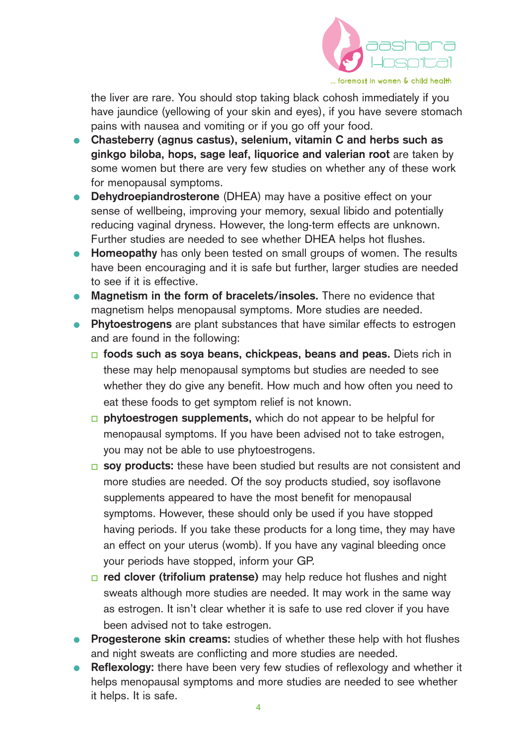

the liver are rare. You should stop taking black cohosh immediately if you have jaundice (yellowing of your skin and eyes), if you have severe stomach pains with nausea and vomiting or if you go off your food.

- **Chasteberry (agnus castus), selenium, vitamin C and herbs such as ginkgo biloba, hops, sage leaf, liquorice and valerian root** are taken by some women but there are very few studies on whether any of these work for menopausal symptoms.
- **Dehydroepiandrosterone** (DHEA) may have a positive effect on your sense of wellbeing, improving your memory, sexual libido and potentially reducing vaginal dryness. However, the long-term effects are unknown. Further studies are needed to see whether DHEA helps hot flushes.
- **Homeopathy** has only been tested on small groups of women. The results have been encouraging and it is safe but further, larger studies are needed to see if it is effective.
- **Magnetism in the form of bracelets/insoles.** There no evidence that magnetism helps menopausal symptoms. More studies are needed.
- **Phytoestrogens** are plant substances that have similar effects to estrogen and are found in the following:
	- □ **foods such as soya beans, chickpeas, beans and peas.** Diets rich in these may help menopausal symptoms but studies are needed to see whether they do give any benefit. How much and how often you need to eat these foods to get symptom relief is not known.
	- **phytoestrogen supplements,** which do not appear to be helpful for menopausal symptoms. If you have been advised not to take estrogen, you may not be able to use phytoestrogens.
	- **p** soy products: these have been studied but results are not consistent and more studies are needed. Of the soy products studied, soy isoflavone supplements appeared to have the most benefit for menopausal symptoms. However, these should only be used if you have stopped having periods. If you take these products for a long time, they may have an effect on your uterus (womb). If you have any vaginal bleeding once your periods have stopped, inform your GP.
	- $\Box$  **red clover (trifolium pratense)** may help reduce hot flushes and night sweats although more studies are needed. It may work in the same way as estrogen. It isn't clear whether it is safe to use red clover if you have been advised not to take estrogen.
- **Progesterone skin creams:** studies of whether these help with hot flushes and night sweats are conflicting and more studies are needed.
- **Reflexology:** there have been very few studies of reflexology and whether it helps menopausal symptoms and more studies are needed to see whether it helps. It is safe.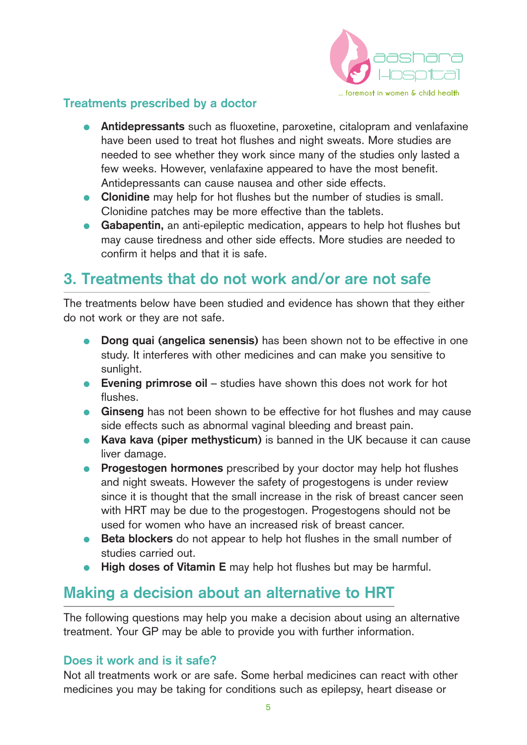

### **Treatments prescribed by a doctor**

- **Antidepressants** such as fluoxetine, paroxetine, citalopram and venlafaxine have been used to treat hot flushes and night sweats. More studies are needed to see whether they work since many of the studies only lasted a few weeks. However, venlafaxine appeared to have the most benefit. Antidepressants can cause nausea and other side effects.
- **Clonidine** may help for hot flushes but the number of studies is small. Clonidine patches may be more effective than the tablets.
- **Gabapentin,** an anti-epileptic medication, appears to help hot flushes but may cause tiredness and other side effects. More studies are needed to confirm it helps and that it is safe.

# **3. Treatments that do not work and/or are not safe**

The treatments below have been studied and evidence has shown that they either do not work or they are not safe.

- **Dong quai (angelica senensis)** has been shown not to be effective in one study. It interferes with other medicines and can make you sensitive to sunlight.
- **Evening primrose oil** studies have shown this does not work for hot flushes.
- **Ginseng** has not been shown to be effective for hot flushes and may cause side effects such as abnormal vaginal bleeding and breast pain.
- **Kava kava (piper methysticum)** is banned in the UK because it can cause liver damage.
- **Progestogen hormones** prescribed by your doctor may help hot flushes and night sweats. However the safety of progestogens is under review since it is thought that the small increase in the risk of breast cancer seen with HRT may be due to the progestogen. Progestogens should not be used for women who have an increased risk of breast cancer.
- **Beta blockers** do not appear to help hot flushes in the small number of studies carried out.
- High doses of Vitamin E may help hot flushes but may be harmful.

## **Making a decision about an alternative to HRT**

The following questions may help you make a decision about using an alternative treatment. Your GP may be able to provide you with further information.

### **Does it work and is it safe?**

Not all treatments work or are safe. Some herbal medicines can react with other medicines you may be taking for conditions such as epilepsy, heart disease or